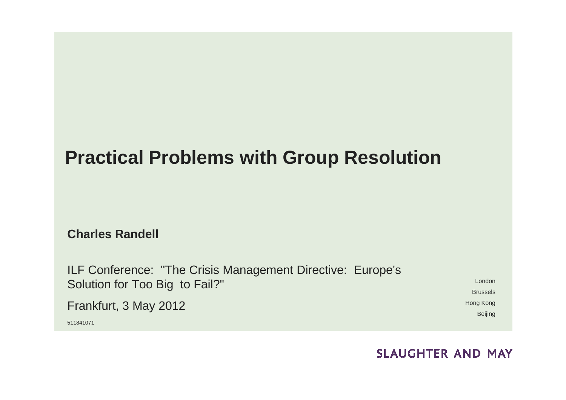#### **Practical Problems with Group Resolution**

**Charles Randell**

ILF Conference: "The Crisis Management Directive: Europe's Solution for Too Big to Fail?"Frankfurt, 3 May 2012511841071

LondonBrusselsHong KongBeijing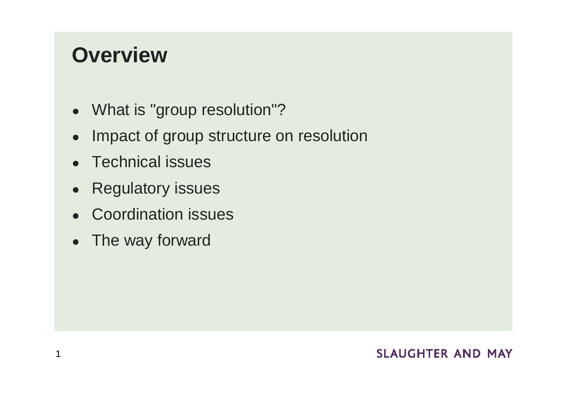### **Overview**

- What is "group resolution"?
- ●Impact of group structure on resolution
- Technical issues
- ●Regulatory issues
- $\bullet$ Coordination issues
- ●The way forward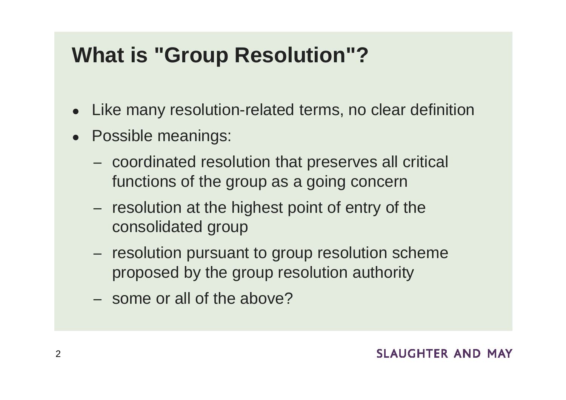### **What is "Group Resolution"?**

- ●Like many resolution-related terms, no clear definition
- Possible meanings:
	- coordinated resolution that preserves all critical functions of the group as a going concern
	- resolution at the highest point of entry of the consolidated group
	- resolution pursuant to group resolution scheme proposed by the group resolution authority
	- some or all of the above?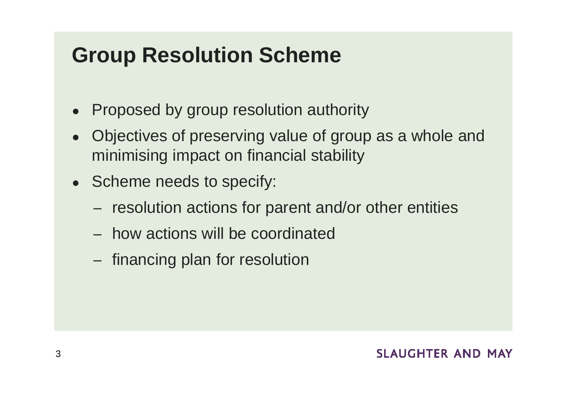### **Group Resolution Scheme**

- $\bullet$ Proposed by group resolution authority
- ● Objectives of preserving value of group as a whole and minimising impact on financial stability
- $\bullet$ • Scheme needs to specify:
	- resolution actions for parent and/or other entities
	- how actions will be coordinated
	- financing plan for resolution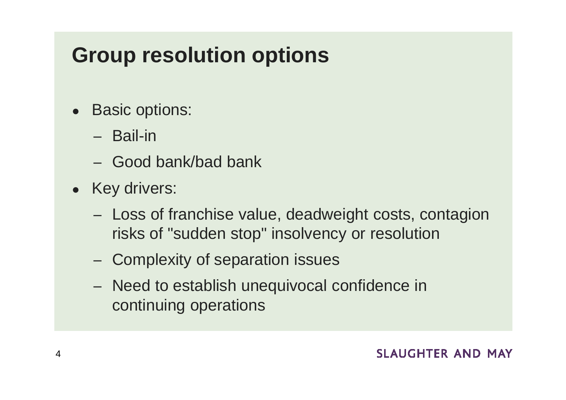## **Group resolution options**

- Basic options:
	- Bail-in
	- Good bank/bad bank
- Key drivers:
	- Loss of franchise value, deadweight costs, contagion risks of "sudden stop" insolvency or resolution
	- Complexity of separation issues
	- Need to establish unequivocal confidence in continuing operations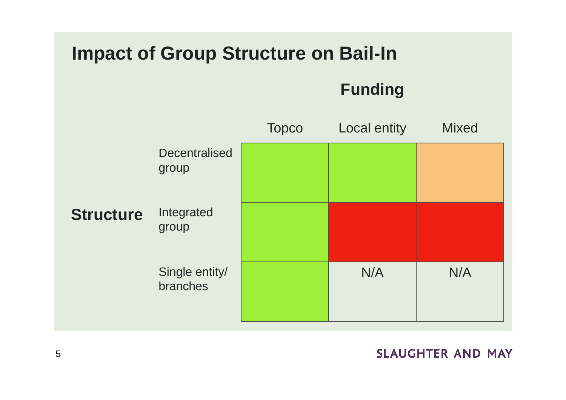#### **Impact of Group Structure on Bail-In**

**Funding**

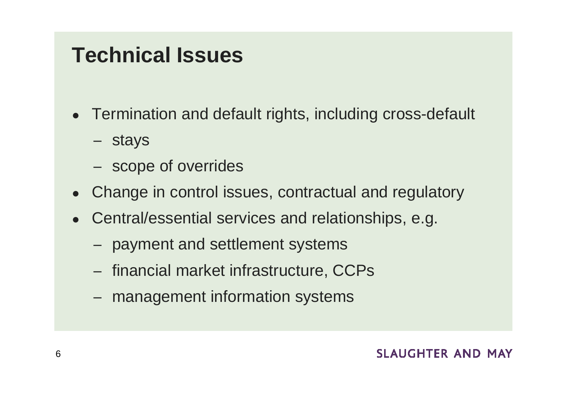### **Technical Issues**

- Termination and default rights, including cross-default
	- stays
	- scope of overrides
- $\bullet$ Change in control issues, contractual and regulatory
- ● Central/essential services and relationships, e.g.
	- payment and settlement systems
	- $-$  financial market infrastructure,  $\sf{CCPs}$
	- management information systems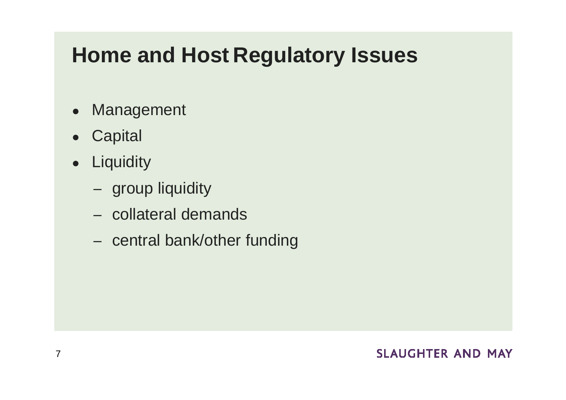### **Home and Host Regulatory Issues**

- ●Management
- ●**Capital**
- Liquidity
	- group liquidity
	- collateral demands
	- central bank/other funding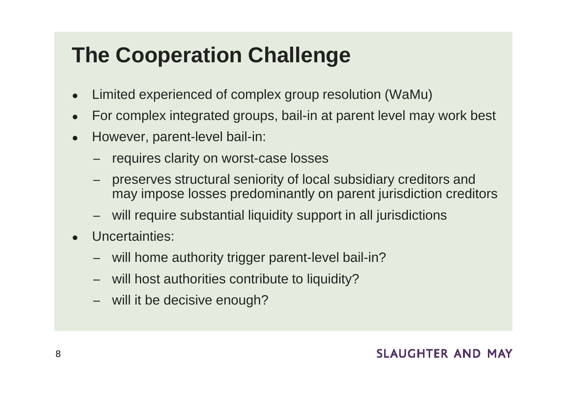# **The Cooperation Challenge**

- ●Limited experienced of complex group resolution (WaMu)
- ●For complex integrated groups, bail-in at parent level may work best
- ● However, parent-level bail-in:
	- requires clarity on worst-case losses
	- preserves structural seniority of local subsidiary creditors and may impose losses predominantly on parent jurisdiction creditors
	- will require substantial liquidity support in all jurisdictions
- ● Uncertainties:
	- −will home authority trigger parent-level bail-in?
	- will host authorities contribute to liquidity?
	- will it be decisive enough?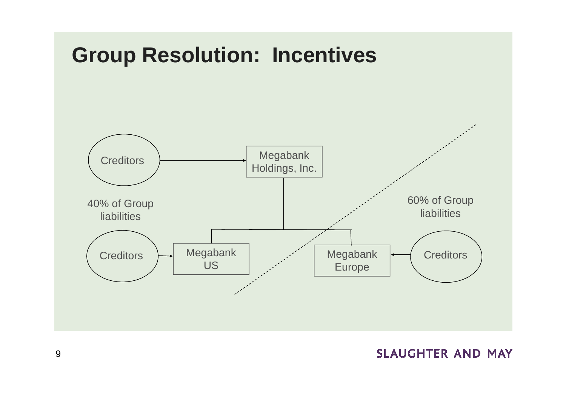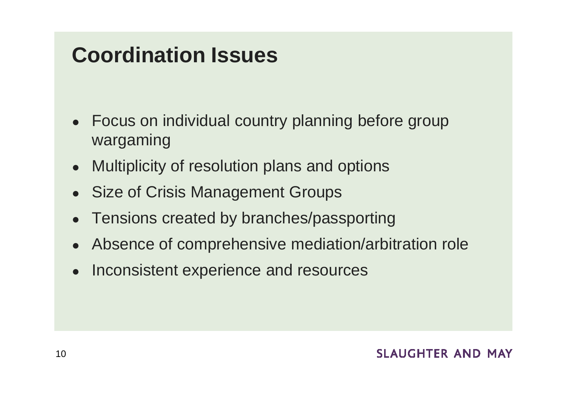### **Coordination Issues**

- $\bullet$  Focus on individual country planning before group wargaming
- $\bullet$ Multiplicity of resolution plans and options
- ●Size of Crisis Management Groups
- ●Tensions created by branches/passporting
- ●Absence of comprehensive mediation/arbitration role
- $\bullet$ Inconsistent experience and resources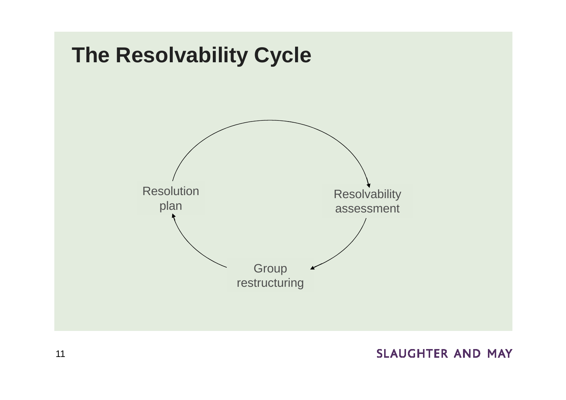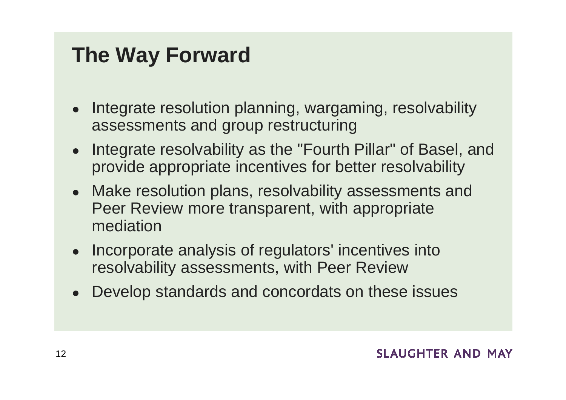## **The Way Forward**

- ● Integrate resolution planning, wargaming, resolvability assessments and group restructuring
- Integrate resolvability as the "Fourth Pillar" of Basel, and provide appropriate incentives for better resolvability
- Make resolution plans, resolvability assessments and Peer Review more transparent, with appropriate mediation
- Incorporate analysis of regulators' incentives into resolvability assessments, with Peer Review
- ●Develop standards and concordats on these issues